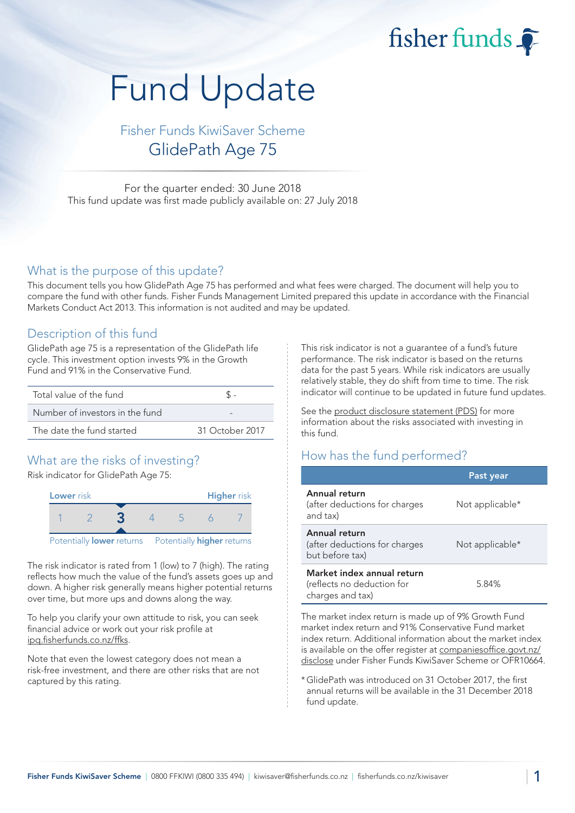fisher funds  $\widehat{\bullet}$ 

# Fund Update

Fisher Funds KiwiSaver Scheme GlidePath Age 75

For the quarter ended: 30 June 2018 This fund update was first made publicly available on: 27 July 2018

#### What is the purpose of this update?

This document tells you how GlidePath Age 75 has performed and what fees were charged. The document will help you to compare the fund with other funds. Fisher Funds Management Limited prepared this update in accordance with the Financial Markets Conduct Act 2013. This information is not audited and may be updated.

## Description of this fund

GlidePath age 75 is a representation of the GlidePath life cycle. This investment option invests 9% in the Growth Fund and 91% in the Conservative Fund.

| Total value of the fund         |                 |
|---------------------------------|-----------------|
| Number of investors in the fund |                 |
| The date the fund started       | 31 October 2017 |

# What are the risks of investing?

Risk indicator for GlidePath Age 75:



The risk indicator is rated from 1 (low) to 7 (high). The rating reflects how much the value of the fund's assets goes up and down. A higher risk generally means higher potential returns over time, but more ups and downs along the way.

To help you clarify your own attitude to risk, you can seek financial advice or work out your risk profile at [ipq.fisherfunds.co.nz/ffks.](https://ipq.fisherfunds.co.nz/ffks)

Note that even the lowest category does not mean a risk-free investment, and there are other risks that are not captured by this rating.

This risk indicator is not a guarantee of a fund's future performance. The risk indicator is based on the returns data for the past 5 years. While risk indicators are usually relatively stable, they do shift from time to time. The risk indicator will continue to be updated in future fund updates.

See the [product disclosure statement \(PDS\)](https://fisherfunds.co.nz/assets/PDS/Fisher-Funds-KiwiSaver-Scheme-PDS.pdf) for more information about the risks associated with investing in this fund.

# How has the fund performed?

|                                                                              | Past year       |
|------------------------------------------------------------------------------|-----------------|
| Annual return<br>(after deductions for charges<br>and tax)                   | Not applicable* |
| Annual return<br>(after deductions for charges<br>but before tax)            | Not applicable* |
| Market index annual return<br>(reflects no deduction for<br>charges and tax) | 5.84%           |

The market index return is made up of 9% Growth Fund market index return and 91% Conservative Fund market index return. Additional information about the market index is available on the offer register at [companiesoffice.govt.nz/](http://companiesoffice.govt.nz/disclose) [disclose](http://companiesoffice.govt.nz/disclose) under Fisher Funds KiwiSaver Scheme or OFR10664.

\*GlidePath was introduced on 31 October 2017, the first annual returns will be available in the 31 December 2018 fund update.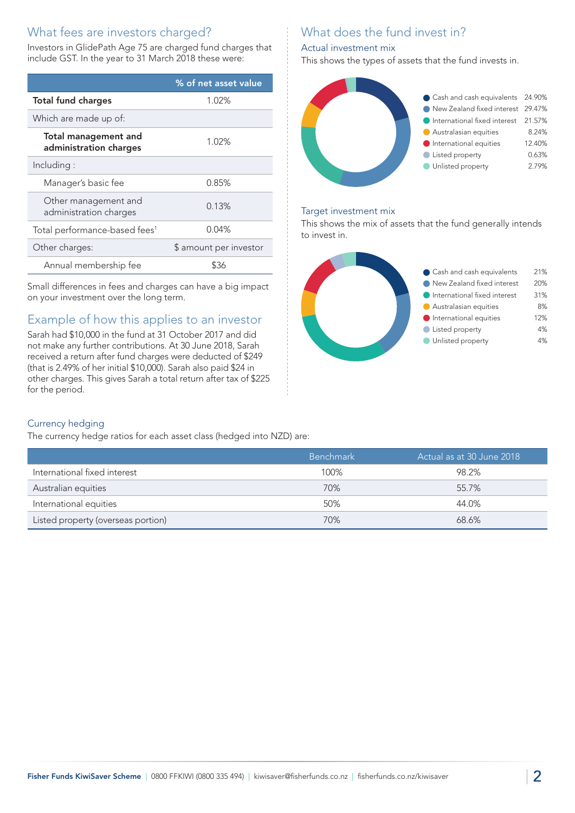# What fees are investors charged?

Investors in GlidePath Age 75 are charged fund charges that include GST. In the year to 31 March 2018 these were:

|                                                       | % of net asset value   |
|-------------------------------------------------------|------------------------|
| <b>Total fund charges</b>                             | 1.02%                  |
| Which are made up of:                                 |                        |
| <b>Total management and</b><br>administration charges | 1.02%                  |
| Including:                                            |                        |
| Manager's basic fee                                   | 0.85%                  |
| Other management and<br>administration charges        | 0.13%                  |
| Total performance-based fees <sup>1</sup>             | $0.04\%$               |
| Other charges:                                        | \$ amount per investor |
| Annual membership fee                                 | ፍ36                    |

Small differences in fees and charges can have a big impact on your investment over the long term.

# Example of how this applies to an investor

Sarah had \$10,000 in the fund at 31 October 2017 and did not make any further contributions. At 30 June 2018, Sarah received a return after fund charges were deducted of \$249 (that is 2.49% of her initial \$10,000). Sarah also paid \$24 in other charges. This gives Sarah a total return after tax of \$225 for the period.

# What does the fund invest in?

#### Actual investment mix

This shows the types of assets that the fund invests in.



#### Target investment mix

This shows the mix of assets that the fund generally intends to invest in.



#### Currency hedging

The currency hedge ratios for each asset class (hedged into NZD) are:

|                                    | <b>Benchmark</b> | ' Actual as at 30 June 2018 , |
|------------------------------------|------------------|-------------------------------|
|                                    |                  |                               |
| International fixed interest       | 100%             | 98.2%                         |
| Australian equities                | 70%              | 55.7%                         |
| International equities             | 50%              | 44.0%                         |
| Listed property (overseas portion) | 70%              | 68.6%                         |